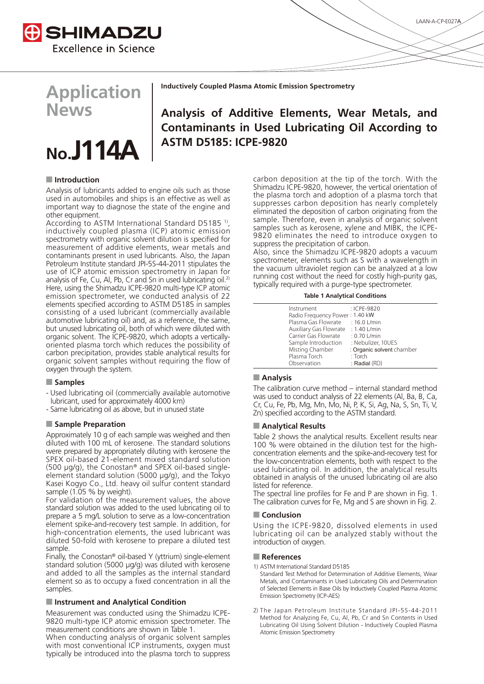



**Application News**



**Inductively Coupled Plasma Atomic Emission Spectrometry**

# **Analysis of Additive Elements, Wear Metals, and Contaminants in Used Lubricating Oil According to ASTM D5185: ICPE-9820**

# ■ Introduction

Analysis of lubricants added to engine oils such as those used in automobiles and ships is an effective as well as important way to diagnose the state of the engine and other equipment.

According to ASTM International Standard D5185<sup>1)</sup>, inductively coupled plasma (ICP) atomic emission spectrometry with organic solvent dilution is specified for measurement of additive elements, wear metals and contaminants present in used lubricants. Also, the Japan Petroleum Institute standard JPI-5S-44-2011 stipulates the use of ICP atomic emission spectrometry in Japan for analysis of Fe, Cu, Al, Pb, Cr and Sn in used lubricating oil.<sup>2)</sup> Here, using the Shimadzu ICPE-9820 multi-type ICP atomic emission spectrometer, we conducted analysis of 22 elements specified according to ASTM D5185 in samples consisting of a used lubricant (commercially available automotive lubricating oil) and, as a reference, the same, but unused lubricating oil, both of which were diluted with organic solvent. The ICPE-9820, which adopts a verticallyoriented plasma torch which reduces the possibility of carbon precipitation, provides stable analytical results for organic solvent samples without requiring the flow of oxygen through the system.

## Q **Samples**

- Used lubricating oil (commercially available automotive lubricant, used for approximately 4000 km)
- Same lubricating oil as above, but in unused state

#### Q **Sample Preparation**

Approximately 10 g of each sample was weighed and then diluted with 100 mL of kerosene. The standard solutions were prepared by appropriately diluting with kerosene the SPEX oil-based 21-element mixed standard solution (500 μg/g), the Conostan® and SPEX oil-based singleelement standard solution (5000 μg/g), and the Tokyo Kasei Kogyo Co., Ltd. heavy oil sulfur content standard sample (1.05 % by weight).

For validation of the measurement values, the above standard solution was added to the used lubricating oil to prepare a 5 mg/L solution to serve as a low-concentration element spike-and-recovery test sample. In addition, for high-concentration elements, the used lubricant was diluted 50-fold with kerosene to prepare a diluted test sample.

Finally, the Conostan® oil-based Y (yttrium) single-element standard solution (5000 μg/g) was diluted with kerosene and added to all the samples as the internal standard element so as to occupy a fixed concentration in all the samples.

## Q **Instrument and Analytical Condition**

Measurement was conducted using the Shimadzu ICPE-9820 multi-type ICP atomic emission spectrometer. The measurement conditions are shown in Table 1.

When conducting analysis of organic solvent samples with most conventional ICP instruments, oxygen must typically be introduced into the plasma torch to suppress

carbon deposition at the tip of the torch. With the Shimadzu ICPE-9820, however, the vertical orientation of the plasma torch and adoption of a plasma torch that suppresses carbon deposition has nearly completely eliminated the deposition of carbon originating from the sample. Therefore, even in analysis of organic solvent samples such as kerosene, xylene and MIBK, the ICPE-9820 eliminates the need to introduce oxygen to suppress the precipitation of carbon.

Also, since the Shimadzu ICPE-9820 adopts a vacuum spectrometer, elements such as S with a wavelength in the vacuum ultraviolet region can be analyzed at a low running cost without the need for costly high-purity gas, typically required with a purge-type spectrometer.

**Table 1 Analytical Conditions**

| Instrument                          | : ICPE-9820               |
|-------------------------------------|---------------------------|
| Radio Frequency Power: 1.40 kW      |                           |
| Plasma Gas Flowrate : 16.0 L/min    |                           |
| Auxiliary Gas Flowrate : 1.40 L/min |                           |
| Carrier Gas Flowrate                | $: 0.70$ L/min            |
| Sample Introduction                 | : Nebulizer, 10UES        |
| Misting Chamber                     | : Organic solvent chamber |
| Plasma Torch                        | $:$ Torch                 |
| Observation                         | : Radial (RD)             |
|                                     |                           |

#### **Analysis**

The calibration curve method – internal standard method was used to conduct analysis of 22 elements (Al, Ba, B, Ca, Cr, Cu, Fe, Pb, Mg, Mn, Mo, Ni, P, K, Si, Ag, Na, S, Sn, Ti, V, Zn) specified according to the ASTM standard.

#### **Example Analytical Results**

Table 2 shows the analytical results. Excellent results near 100 % were obtained in the dilution test for the highconcentration elements and the spike-and-recovery test for the low-concentration elements, both with respect to the used lubricating oil. In addition, the analytical results obtained in analysis of the unused lubricating oil are also listed for reference.

The spectral line profiles for Fe and P are shown in Fig. 1. The calibration curves for Fe, Mg and S are shown in Fig. 2.

#### Q **Conclusion**

Using the ICPE-9820, dissolved elements in used lubricating oil can be analyzed stably without the introduction of oxygen.

#### Q **References**

1) ASTM International Standard D5185

Standard Test Method for Determination of Additive Elements, Wear Metals, and Contaminants in Used Lubricating Oils and Determination of Selected Elements in Base Oils by Inductively Coupled Plasma Atomic Emission Spectrometry (ICP-AES)

2) The Japan Petroleum Institute Standard JPI-5S-44-2011 Method for Analyzing Fe, Cu, Al, Pb, Cr and Sn Contents in Used Lubricating Oil Using Solvent Dilution - Inductively Coupled Plasma Atomic Emission Spectrometry